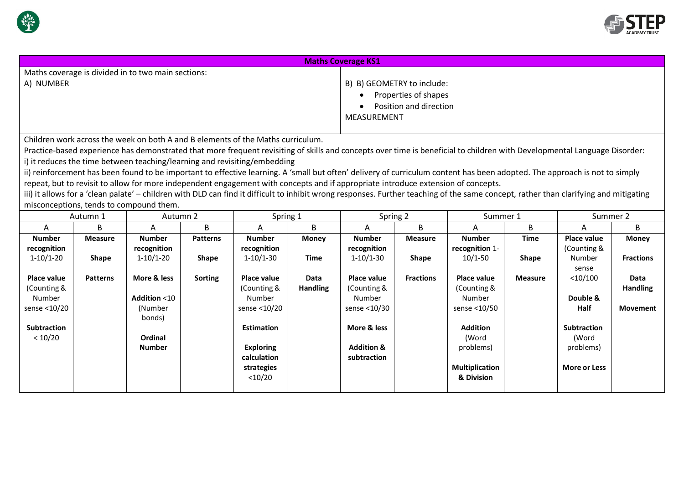

Number sense <10/20

(Number bonds)

**Ordinal Number**

**Subtraction**  $< 10/20$ 



**Double & Half**

**Movement**

**Subtraction** (Word problems)

**More or Less**

| <b>Maths Coverage KS1</b>                                                                                                                                                             |                 |                                                                                 |                 |               |                 |                            |                  |                    |                |                    |                  |  |
|---------------------------------------------------------------------------------------------------------------------------------------------------------------------------------------|-----------------|---------------------------------------------------------------------------------|-----------------|---------------|-----------------|----------------------------|------------------|--------------------|----------------|--------------------|------------------|--|
|                                                                                                                                                                                       |                 | Maths coverage is divided in to two main sections:                              |                 |               |                 |                            |                  |                    |                |                    |                  |  |
| A) NUMBER                                                                                                                                                                             |                 |                                                                                 |                 |               |                 | B) B) GEOMETRY to include: |                  |                    |                |                    |                  |  |
|                                                                                                                                                                                       |                 |                                                                                 |                 |               |                 | Properties of shapes       |                  |                    |                |                    |                  |  |
|                                                                                                                                                                                       |                 |                                                                                 |                 |               |                 | Position and direction     |                  |                    |                |                    |                  |  |
|                                                                                                                                                                                       |                 |                                                                                 |                 |               |                 | MEASUREMENT                |                  |                    |                |                    |                  |  |
|                                                                                                                                                                                       |                 |                                                                                 |                 |               |                 |                            |                  |                    |                |                    |                  |  |
|                                                                                                                                                                                       |                 | Children work across the week on both A and B elements of the Maths curriculum. |                 |               |                 |                            |                  |                    |                |                    |                  |  |
|                                                                                                                                                                                       |                 |                                                                                 |                 |               |                 |                            |                  |                    |                |                    |                  |  |
| Practice-based experience has demonstrated that more frequent revisiting of skills and concepts over time is beneficial to children with Developmental Language Disorder:             |                 |                                                                                 |                 |               |                 |                            |                  |                    |                |                    |                  |  |
| i) it reduces the time between teaching/learning and revisiting/embedding                                                                                                             |                 |                                                                                 |                 |               |                 |                            |                  |                    |                |                    |                  |  |
| ii) reinforcement has been found to be important to effective learning. A 'small but often' delivery of curriculum content has been adopted. The approach is not to simply            |                 |                                                                                 |                 |               |                 |                            |                  |                    |                |                    |                  |  |
| repeat, but to revisit to allow for more independent engagement with concepts and if appropriate introduce extension of concepts.                                                     |                 |                                                                                 |                 |               |                 |                            |                  |                    |                |                    |                  |  |
| iii) it allows for a 'clean palate' – children with DLD can find it difficult to inhibit wrong responses. Further teaching of the same concept, rather than clarifying and mitigating |                 |                                                                                 |                 |               |                 |                            |                  |                    |                |                    |                  |  |
|                                                                                                                                                                                       |                 | misconceptions, tends to compound them.                                         |                 |               |                 |                            |                  |                    |                |                    |                  |  |
| Autumn 1                                                                                                                                                                              |                 | Autumn 2                                                                        |                 | Spring 1      |                 | Spring 2                   |                  | Summer 1           |                | Summer 2           |                  |  |
| Α                                                                                                                                                                                     | B.              | A                                                                               | B.              | A             | B               | A                          | B                | A                  | B              | A                  | B.               |  |
| <b>Number</b>                                                                                                                                                                         | <b>Measure</b>  | <b>Number</b>                                                                   | <b>Patterns</b> | <b>Number</b> | Money           | <b>Number</b>              | <b>Measure</b>   | <b>Number</b>      | <b>Time</b>    | <b>Place value</b> | <b>Money</b>     |  |
| recognition                                                                                                                                                                           |                 | recognition                                                                     |                 | recognition   |                 | recognition                |                  | recognition 1-     |                | (Counting &        |                  |  |
| $1-10/1-20$                                                                                                                                                                           | <b>Shape</b>    | $1-10/1-20$                                                                     | <b>Shape</b>    | $1-10/1-30$   | Time            | $1-10/1-30$                | <b>Shape</b>     | $10/1 - 50$        | <b>Shape</b>   | Number             | <b>Fractions</b> |  |
|                                                                                                                                                                                       |                 |                                                                                 |                 |               |                 |                            |                  |                    |                | sense              |                  |  |
| Place value                                                                                                                                                                           | <b>Patterns</b> | More & less                                                                     | Sorting         | Place value   | Data            | Place value                | <b>Fractions</b> | <b>Place value</b> | <b>Measure</b> | $<$ 10/100         | Data             |  |
| (Counting &                                                                                                                                                                           |                 |                                                                                 |                 | (Counting &   | <b>Handling</b> | (Counting &                |                  | (Counting &        |                |                    | <b>Handling</b>  |  |
| Number                                                                                                                                                                                |                 | <b>Addition &lt;10</b>                                                          |                 | Number        |                 | Number                     |                  | Number             |                | Double &           |                  |  |

Number sense <10/30

Number sense <10/50

> **Addition** (Word problems)

**Multiplication & Division**

**More & less**

**Addition & subtraction**

Number sense <10/20

**Estimation**

**Exploring calculation strategies** <10/20